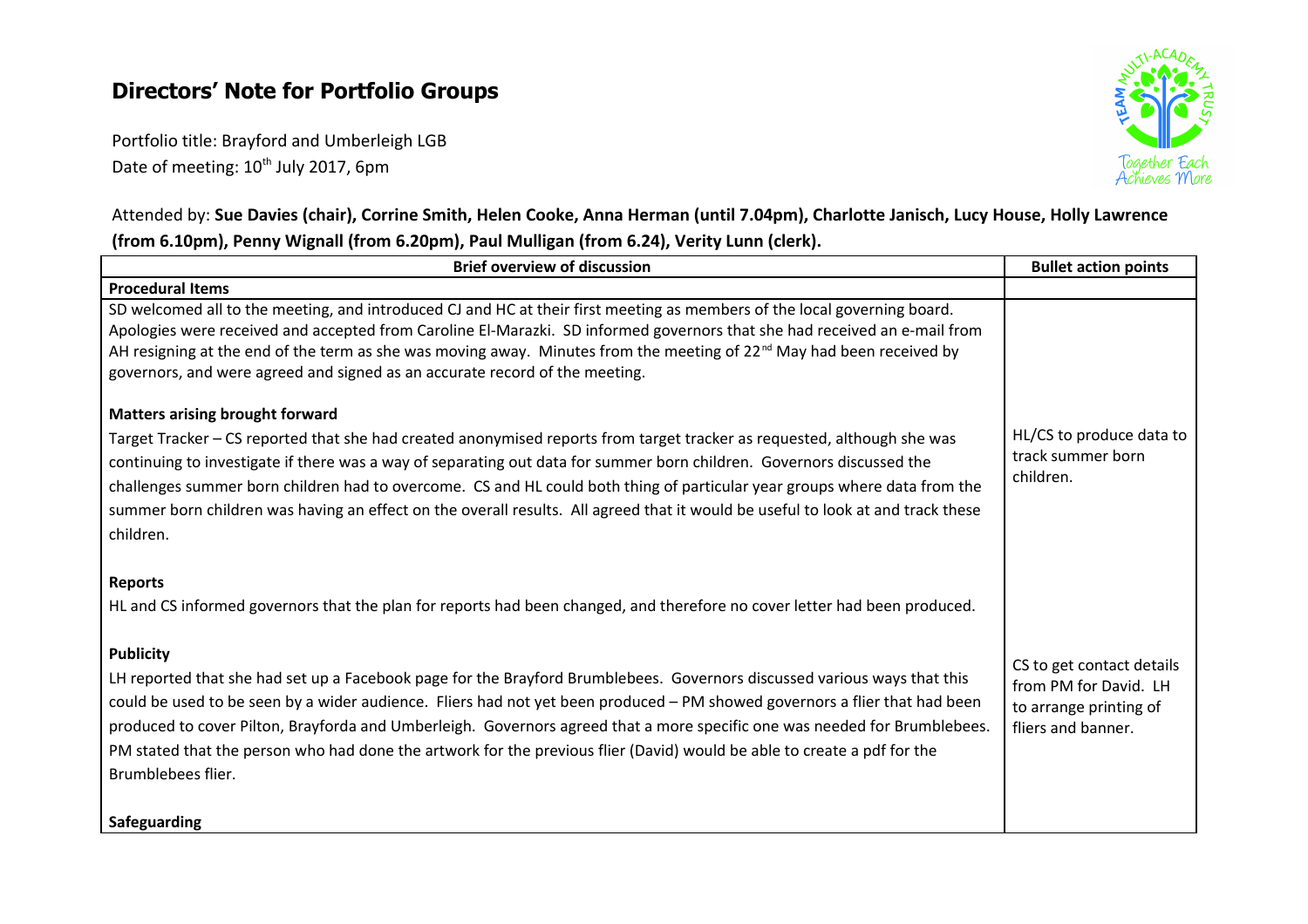# **Directors' Note for Portfolio Groups**

Portfolio title: Brayford and Umberleigh LGB Date of meeting: 10<sup>th</sup> July 2017, 6pm



## Attended by: **Sue Davies (chair), Corrine Smith, Helen Cooke, Anna Herman (until 7.04pm), Charlotte Janisch, Lucy House, Holly Lawrence (from 6.10pm), Penny Wignall (from 6.20pm), Paul Mulligan (from 6.24), Verity Lunn (clerk).**

| <b>Brief overview of discussion</b>                                                                                                                                                                                                                                                                                                                                                                                                                                                                                                  | <b>Bullet action points</b>                                           |
|--------------------------------------------------------------------------------------------------------------------------------------------------------------------------------------------------------------------------------------------------------------------------------------------------------------------------------------------------------------------------------------------------------------------------------------------------------------------------------------------------------------------------------------|-----------------------------------------------------------------------|
| <b>Procedural Items</b>                                                                                                                                                                                                                                                                                                                                                                                                                                                                                                              |                                                                       |
| SD welcomed all to the meeting, and introduced CJ and HC at their first meeting as members of the local governing board.<br>Apologies were received and accepted from Caroline El-Marazki. SD informed governors that she had received an e-mail from<br>AH resigning at the end of the term as she was moving away. Minutes from the meeting of 22 <sup>nd</sup> May had been received by<br>governors, and were agreed and signed as an accurate record of the meeting.                                                            |                                                                       |
| <b>Matters arising brought forward</b>                                                                                                                                                                                                                                                                                                                                                                                                                                                                                               |                                                                       |
| Target Tracker - CS reported that she had created anonymised reports from target tracker as requested, although she was<br>continuing to investigate if there was a way of separating out data for summer born children. Governors discussed the<br>challenges summer born children had to overcome. CS and HL could both thing of particular year groups where data from the<br>summer born children was having an effect on the overall results. All agreed that it would be useful to look at and track these<br>children.        | HL/CS to produce data to<br>track summer born<br>children.            |
| <b>Reports</b>                                                                                                                                                                                                                                                                                                                                                                                                                                                                                                                       |                                                                       |
| HL and CS informed governors that the plan for reports had been changed, and therefore no cover letter had been produced.                                                                                                                                                                                                                                                                                                                                                                                                            |                                                                       |
| <b>Publicity</b>                                                                                                                                                                                                                                                                                                                                                                                                                                                                                                                     | CS to get contact details                                             |
| LH reported that she had set up a Facebook page for the Brayford Brumblebees. Governors discussed various ways that this<br>could be used to be seen by a wider audience. Fliers had not yet been produced - PM showed governors a flier that had been<br>produced to cover Pilton, Brayforda and Umberleigh. Governors agreed that a more specific one was needed for Brumblebees.<br>PM stated that the person who had done the artwork for the previous flier (David) would be able to create a pdf for the<br>Brumblebees flier. | from PM for David. LH<br>to arrange printing of<br>fliers and banner. |
| <b>Safeguarding</b>                                                                                                                                                                                                                                                                                                                                                                                                                                                                                                                  |                                                                       |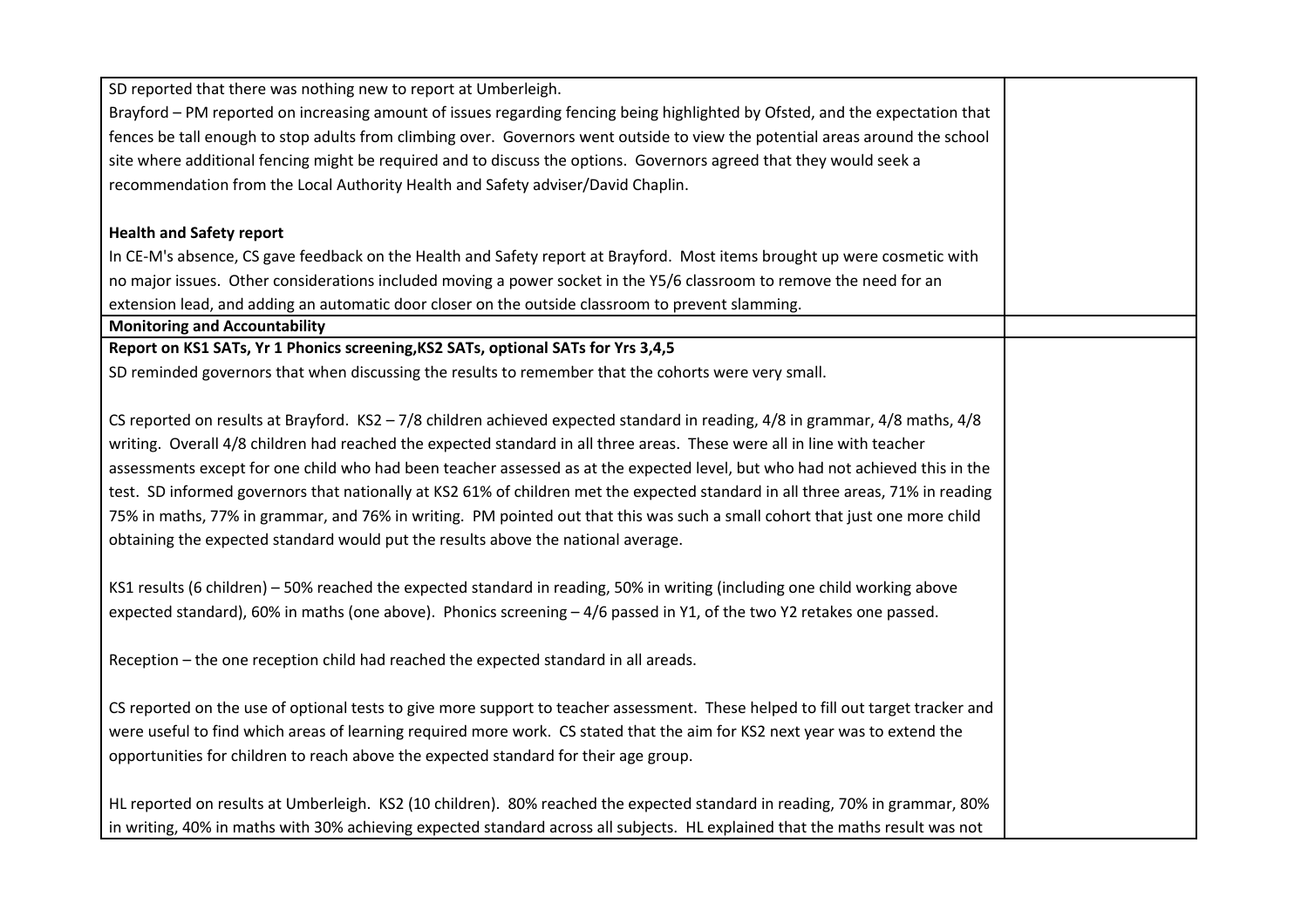| SD reported that there was nothing new to report at Umberleigh.                                                                    |  |
|------------------------------------------------------------------------------------------------------------------------------------|--|
| Brayford - PM reported on increasing amount of issues regarding fencing being highlighted by Ofsted, and the expectation that      |  |
| fences be tall enough to stop adults from climbing over. Governors went outside to view the potential areas around the school      |  |
| site where additional fencing might be required and to discuss the options. Governors agreed that they would seek a                |  |
| recommendation from the Local Authority Health and Safety adviser/David Chaplin.                                                   |  |
|                                                                                                                                    |  |
| <b>Health and Safety report</b>                                                                                                    |  |
| In CE-M's absence, CS gave feedback on the Health and Safety report at Brayford. Most items brought up were cosmetic with          |  |
| no major issues. Other considerations included moving a power socket in the Y5/6 classroom to remove the need for an               |  |
| extension lead, and adding an automatic door closer on the outside classroom to prevent slamming.                                  |  |
| <b>Monitoring and Accountability</b>                                                                                               |  |
| Report on KS1 SATs, Yr 1 Phonics screening, KS2 SATs, optional SATs for Yrs 3,4,5                                                  |  |
| SD reminded governors that when discussing the results to remember that the cohorts were very small.                               |  |
|                                                                                                                                    |  |
| CS reported on results at Brayford. KS2 - 7/8 children achieved expected standard in reading, $4/8$ in grammar, $4/8$ maths, $4/8$ |  |
| writing. Overall 4/8 children had reached the expected standard in all three areas. These were all in line with teacher            |  |
| assessments except for one child who had been teacher assessed as at the expected level, but who had not achieved this in the      |  |
| test. SD informed governors that nationally at KS2 61% of children met the expected standard in all three areas, 71% in reading    |  |
| 75% in maths, 77% in grammar, and 76% in writing. PM pointed out that this was such a small cohort that just one more child        |  |
| obtaining the expected standard would put the results above the national average.                                                  |  |
|                                                                                                                                    |  |
| KS1 results (6 children) - 50% reached the expected standard in reading, 50% in writing (including one child working above         |  |
| expected standard), 60% in maths (one above). Phonics screening -4/6 passed in Y1, of the two Y2 retakes one passed.               |  |
|                                                                                                                                    |  |
| Reception - the one reception child had reached the expected standard in all areads.                                               |  |
|                                                                                                                                    |  |
| CS reported on the use of optional tests to give more support to teacher assessment. These helped to fill out target tracker and   |  |
| were useful to find which areas of learning required more work. CS stated that the aim for KS2 next year was to extend the         |  |
| opportunities for children to reach above the expected standard for their age group.                                               |  |
|                                                                                                                                    |  |
| HL reported on results at Umberleigh. KS2 (10 children). 80% reached the expected standard in reading, 70% in grammar, 80%         |  |
| in writing, 40% in maths with 30% achieving expected standard across all subjects. HL explained that the maths result was not      |  |
|                                                                                                                                    |  |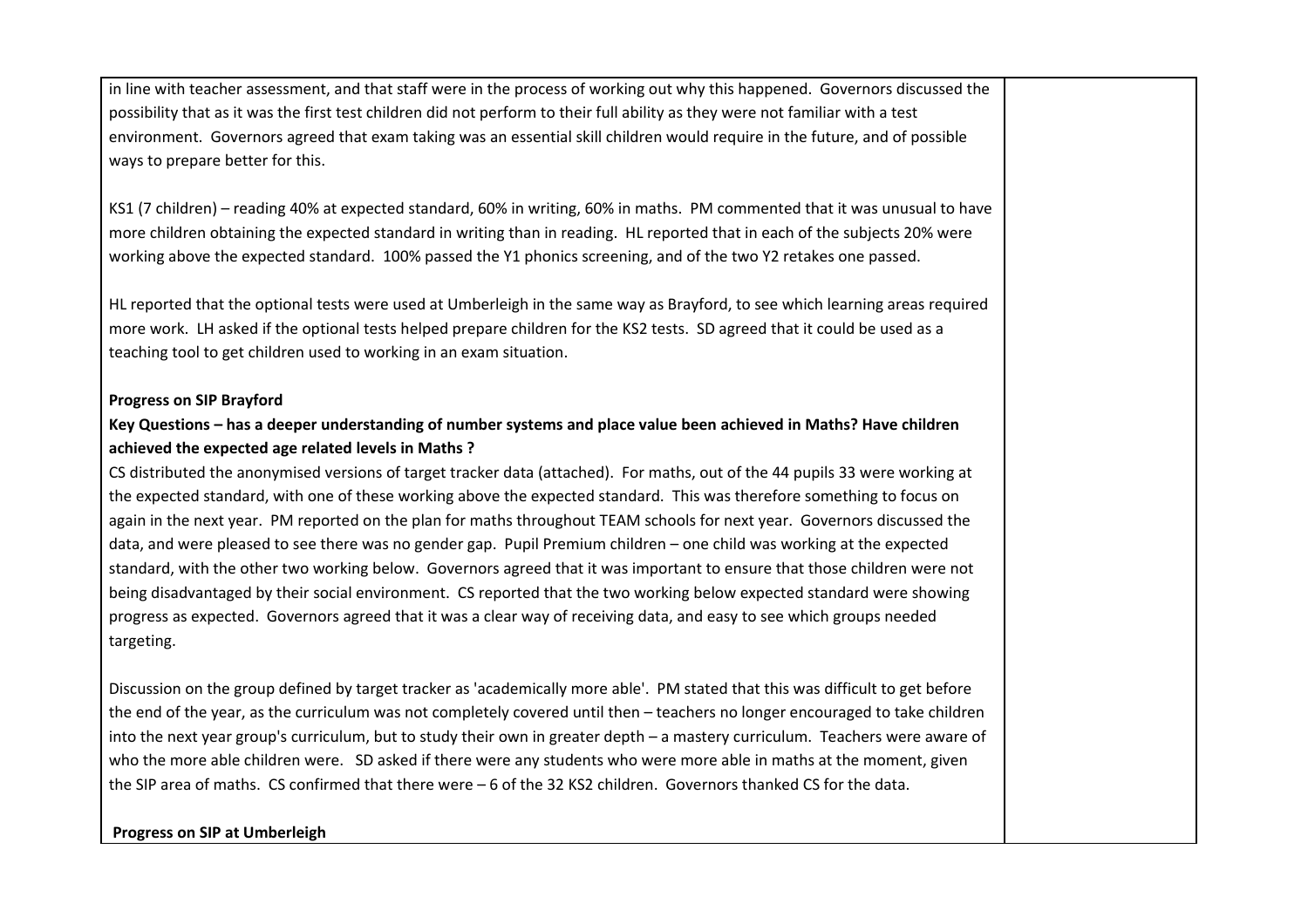in line with teacher assessment, and that staff were in the process of working out why this happened. Governors discussed the possibility that as it was the first test children did not perform to their full ability as they were not familiar with a test environment. Governors agreed that exam taking was an essential skill children would require in the future, and of possible ways to prepare better for this.

KS1 (7 children) – reading 40% at expected standard, 60% in writing, 60% in maths. PM commented that it was unusual to have more children obtaining the expected standard in writing than in reading. HL reported that in each of the subjects 20% were working above the expected standard. 100% passed the Y1 phonics screening, and of the two Y2 retakes one passed.

HL reported that the optional tests were used at Umberleigh in the same way as Brayford, to see which learning areas required more work. LH asked if the optional tests helped prepare children for the KS2 tests. SD agreed that it could be used as a teaching tool to get children used to working in an exam situation.

#### **Progress on SIP Brayford**

### **Key Questions – has a deeper understanding of number systems and place value been achieved in Maths? Have children achieved the expected age related levels in Maths ?**

CS distributed the anonymised versions of target tracker data (attached). For maths, out of the 44 pupils 33 were working at the expected standard, with one of these working above the expected standard. This was therefore something to focus on again in the next year. PM reported on the plan for maths throughout TEAM schools for next year. Governors discussed the data, and were pleased to see there was no gender gap. Pupil Premium children – one child was working at the expected standard, with the other two working below. Governors agreed that it was important to ensure that those children were not being disadvantaged by their social environment. CS reported that the two working below expected standard were showing progress as expected. Governors agreed that it was a clear way of receiving data, and easy to see which groups needed targeting.

Discussion on the group defined by target tracker as 'academically more able'. PM stated that this was difficult to get before the end of the year, as the curriculum was not completely covered until then – teachers no longer encouraged to take children into the next year group's curriculum, but to study their own in greater depth – a mastery curriculum. Teachers were aware of who the more able children were. SD asked if there were any students who were more able in maths at the moment, given the SIP area of maths. CS confirmed that there were – 6 of the 32 KS2 children. Governors thanked CS for the data.

#### **Progress on SIP at Umberleigh**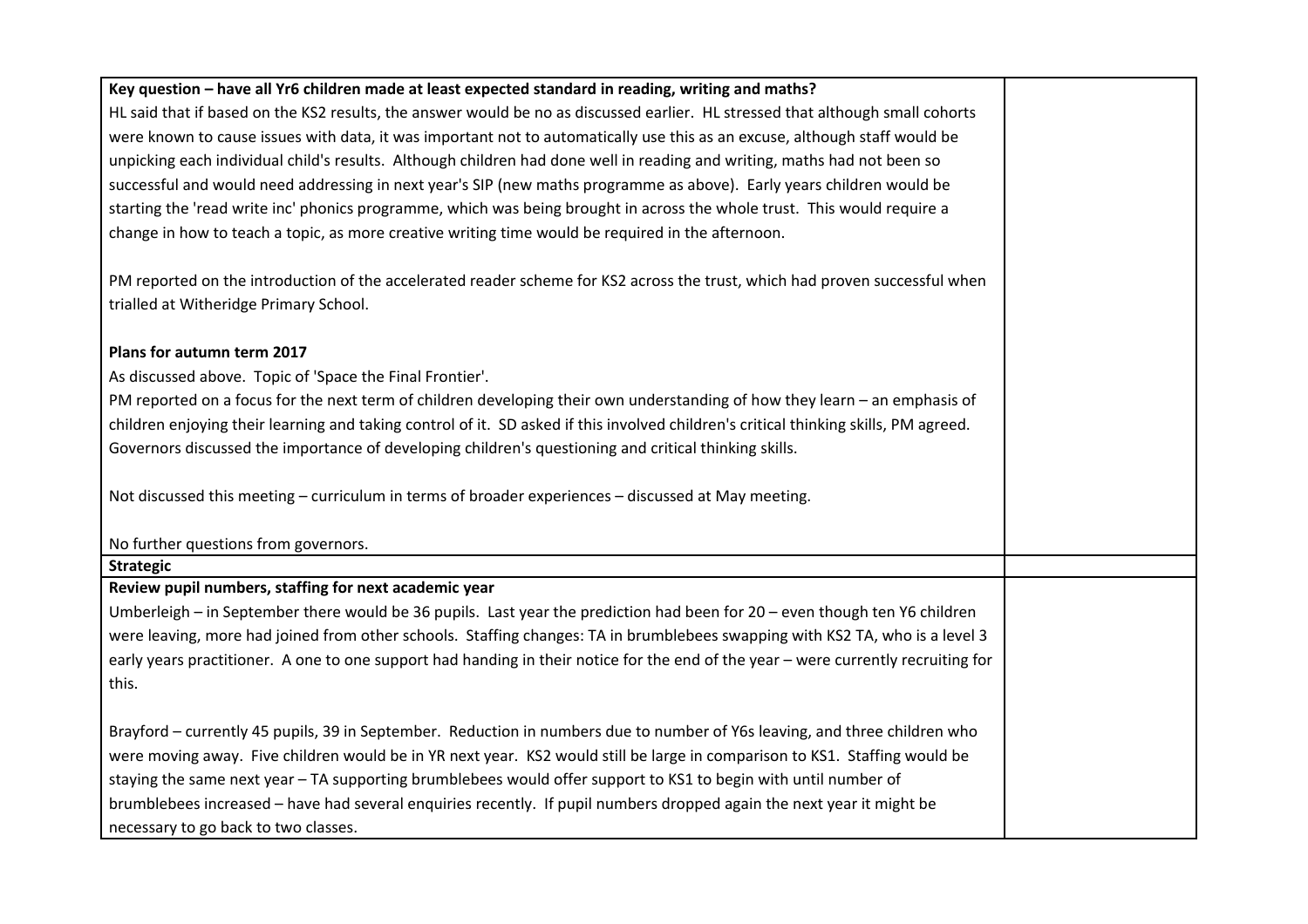| Key question - have all Yr6 children made at least expected standard in reading, writing and maths?                                  |  |
|--------------------------------------------------------------------------------------------------------------------------------------|--|
| HL said that if based on the KS2 results, the answer would be no as discussed earlier. HL stressed that although small cohorts       |  |
| were known to cause issues with data, it was important not to automatically use this as an excuse, although staff would be           |  |
| unpicking each individual child's results. Although children had done well in reading and writing, maths had not been so             |  |
| successful and would need addressing in next year's SIP (new maths programme as above). Early years children would be                |  |
| starting the 'read write inc' phonics programme, which was being brought in across the whole trust. This would require a             |  |
| change in how to teach a topic, as more creative writing time would be required in the afternoon.                                    |  |
|                                                                                                                                      |  |
| PM reported on the introduction of the accelerated reader scheme for KS2 across the trust, which had proven successful when          |  |
| trialled at Witheridge Primary School.                                                                                               |  |
|                                                                                                                                      |  |
| Plans for autumn term 2017                                                                                                           |  |
| As discussed above. Topic of 'Space the Final Frontier'.                                                                             |  |
| PM reported on a focus for the next term of children developing their own understanding of how they learn - an emphasis of           |  |
| children enjoying their learning and taking control of it. SD asked if this involved children's critical thinking skills, PM agreed. |  |
| Governors discussed the importance of developing children's questioning and critical thinking skills.                                |  |
|                                                                                                                                      |  |
| Not discussed this meeting - curriculum in terms of broader experiences - discussed at May meeting.                                  |  |
|                                                                                                                                      |  |
| No further questions from governors.                                                                                                 |  |
| <b>Strategic</b>                                                                                                                     |  |
| Review pupil numbers, staffing for next academic year                                                                                |  |
| Umberleigh – in September there would be 36 pupils. Last year the prediction had been for 20 – even though ten Y6 children           |  |
| were leaving, more had joined from other schools. Staffing changes: TA in brumblebees swapping with KS2 TA, who is a level 3         |  |
| early years practitioner. A one to one support had handing in their notice for the end of the year - were currently recruiting for   |  |
| this.                                                                                                                                |  |
|                                                                                                                                      |  |
| Brayford - currently 45 pupils, 39 in September. Reduction in numbers due to number of Y6s leaving, and three children who           |  |
| were moving away. Five children would be in YR next year. KS2 would still be large in comparison to KS1. Staffing would be           |  |
| staying the same next year - TA supporting brumblebees would offer support to KS1 to begin with until number of                      |  |
| brumblebees increased - have had several enquiries recently. If pupil numbers dropped again the next year it might be                |  |
| necessary to go back to two classes.                                                                                                 |  |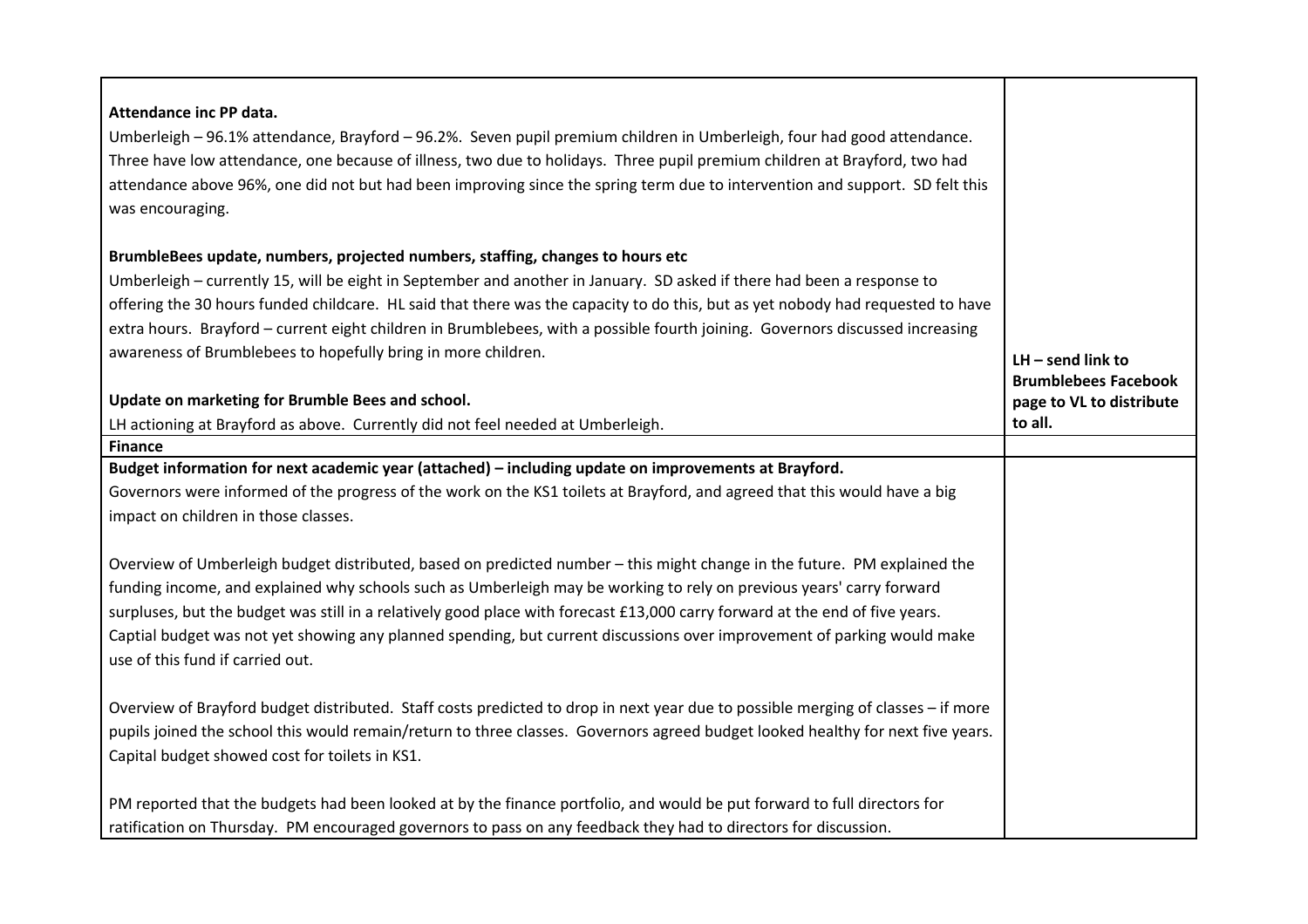| Attendance inc PP data.<br>Umberleigh - 96.1% attendance, Brayford - 96.2%. Seven pupil premium children in Umberleigh, four had good attendance.<br>Three have low attendance, one because of illness, two due to holidays. Three pupil premium children at Brayford, two had<br>attendance above 96%, one did not but had been improving since the spring term due to intervention and support. SD felt this<br>was encouraging.                                                                                                              |                                                         |
|-------------------------------------------------------------------------------------------------------------------------------------------------------------------------------------------------------------------------------------------------------------------------------------------------------------------------------------------------------------------------------------------------------------------------------------------------------------------------------------------------------------------------------------------------|---------------------------------------------------------|
| BrumbleBees update, numbers, projected numbers, staffing, changes to hours etc                                                                                                                                                                                                                                                                                                                                                                                                                                                                  |                                                         |
| Umberleigh - currently 15, will be eight in September and another in January. SD asked if there had been a response to                                                                                                                                                                                                                                                                                                                                                                                                                          |                                                         |
| offering the 30 hours funded childcare. HL said that there was the capacity to do this, but as yet nobody had requested to have                                                                                                                                                                                                                                                                                                                                                                                                                 |                                                         |
| extra hours. Brayford - current eight children in Brumblebees, with a possible fourth joining. Governors discussed increasing<br>awareness of Brumblebees to hopefully bring in more children.                                                                                                                                                                                                                                                                                                                                                  |                                                         |
|                                                                                                                                                                                                                                                                                                                                                                                                                                                                                                                                                 | $LH$ – send link to                                     |
| Update on marketing for Brumble Bees and school.                                                                                                                                                                                                                                                                                                                                                                                                                                                                                                | <b>Brumblebees Facebook</b><br>page to VL to distribute |
| LH actioning at Brayford as above. Currently did not feel needed at Umberleigh.                                                                                                                                                                                                                                                                                                                                                                                                                                                                 | to all.                                                 |
| <b>Finance</b>                                                                                                                                                                                                                                                                                                                                                                                                                                                                                                                                  |                                                         |
| Budget information for next academic year (attached) - including update on improvements at Brayford.                                                                                                                                                                                                                                                                                                                                                                                                                                            |                                                         |
| Governors were informed of the progress of the work on the KS1 toilets at Brayford, and agreed that this would have a big                                                                                                                                                                                                                                                                                                                                                                                                                       |                                                         |
| impact on children in those classes.                                                                                                                                                                                                                                                                                                                                                                                                                                                                                                            |                                                         |
| Overview of Umberleigh budget distributed, based on predicted number - this might change in the future. PM explained the<br>funding income, and explained why schools such as Umberleigh may be working to rely on previous years' carry forward<br>surpluses, but the budget was still in a relatively good place with forecast £13,000 carry forward at the end of five years.<br>Captial budget was not yet showing any planned spending, but current discussions over improvement of parking would make<br>use of this fund if carried out. |                                                         |
| Overview of Brayford budget distributed. Staff costs predicted to drop in next year due to possible merging of classes - if more<br>pupils joined the school this would remain/return to three classes. Governors agreed budget looked healthy for next five years.<br>Capital budget showed cost for toilets in KS1.                                                                                                                                                                                                                           |                                                         |
| PM reported that the budgets had been looked at by the finance portfolio, and would be put forward to full directors for<br>ratification on Thursday. PM encouraged governors to pass on any feedback they had to directors for discussion.                                                                                                                                                                                                                                                                                                     |                                                         |